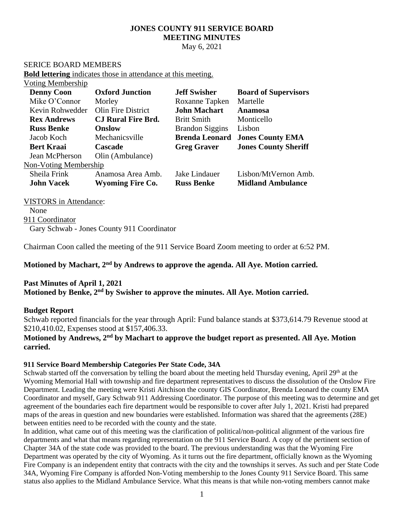# **JONES COUNTY 911 SERVICE BOARD MEETING MINUTES**

May 6, 2021

## SERICE BOARD MEMBERS

**Bold lettering** indicates those in attendance at this meeting.

## Voting Membership

| <b>Denny Coon</b>     | <b>Oxford Junction</b>    | <b>Jeff Swisher</b>    | <b>Board of Supervisors</b> |
|-----------------------|---------------------------|------------------------|-----------------------------|
| Mike O'Connor         | Morley                    | Roxanne Tapken         | Martelle                    |
| Kevin Rohwedder       | Olin Fire District        | <b>John Machart</b>    | <b>Anamosa</b>              |
| <b>Rex Andrews</b>    | <b>CJ Rural Fire Brd.</b> | <b>Britt Smith</b>     | Monticello                  |
| <b>Russ Benke</b>     | <b>Onslow</b>             | <b>Brandon Siggins</b> | Lisbon                      |
| Jacob Koch            | Mechanicsville            | <b>Brenda Leonard</b>  | <b>Jones County EMA</b>     |
| <b>Bert Kraai</b>     | Cascade                   | <b>Greg Graver</b>     | <b>Jones County Sheriff</b> |
| Jean McPherson        | Olin (Ambulance)          |                        |                             |
| Non-Voting Membership |                           |                        |                             |
| Sheila Frink          | Anamosa Area Amb.         | Jake Lindauer          | Lisbon/MtVernon Amb.        |
| <b>John Vacek</b>     | <b>Wyoming Fire Co.</b>   | <b>Russ Benke</b>      | <b>Midland Ambulance</b>    |

VISTORS in Attendance:

None 911 Coordinator Gary Schwab - Jones County 911 Coordinator

Chairman Coon called the meeting of the 911 Service Board Zoom meeting to order at 6:52 PM.

Motioned by Machart, 2<sup>nd</sup> by Andrews to approve the agenda. All Aye. Motion carried.

## **Past Minutes of April 1, 2021**

**Motioned by Benke, 2 nd by Swisher to approve the minutes. All Aye. Motion carried.**

## **Budget Report**

Schwab reported financials for the year through April: Fund balance stands at \$373,614.79 Revenue stood at \$210,410.02, Expenses stood at \$157,406.33.

## Motioned by Andrews, 2<sup>nd</sup> by Machart to approve the budget report as presented. All Aye. Motion **carried.**

#### **911 Service Board Membership Categories Per State Code, 34A**

Schwab started off the conversation by telling the board about the meeting held Thursday evening, April 29<sup>th</sup> at the Wyoming Memorial Hall with township and fire department representatives to discuss the dissolution of the Onslow Fire Department. Leading the meeting were Kristi Aitchison the county GIS Coordinator, Brenda Leonard the county EMA Coordinator and myself, Gary Schwab 911 Addressing Coordinator. The purpose of this meeting was to determine and get agreement of the boundaries each fire department would be responsible to cover after July 1, 2021. Kristi had prepared maps of the areas in question and new boundaries were established. Information was shared that the agreements (28E) between entities need to be recorded with the county and the state.

In addition, what came out of this meeting was the clarification of political/non-political alignment of the various fire departments and what that means regarding representation on the 911 Service Board. A copy of the pertinent section of Chapter 34A of the state code was provided to the board. The previous understanding was that the Wyoming Fire Department was operated by the city of Wyoming. As it turns out the fire department, officially known as the Wyoming Fire Company is an independent entity that contracts with the city and the townships it serves. As such and per State Code 34A, Wyoming Fire Company is afforded Non-Voting membership to the Jones County 911 Service Board. This same status also applies to the Midland Ambulance Service. What this means is that while non-voting members cannot make